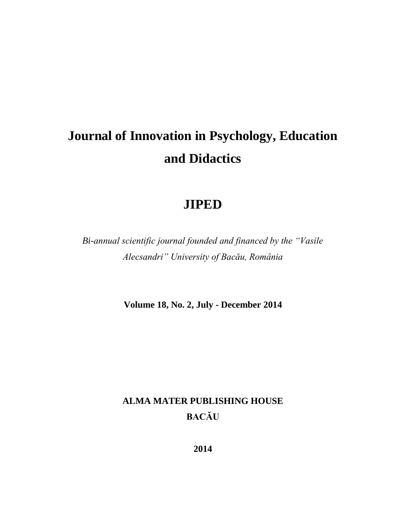# **Journal of Innovation in Psychology, Education and Didactics**

# **JIPED**

*Bi-annual scientific journal founded and financed by the "Vasile Alecsandri" University of Bacău, România*

**Volume 18, No. 2, July - December 2014**

## **ALMA MATER PUBLISHING HOUSE BACĂU**

**2014**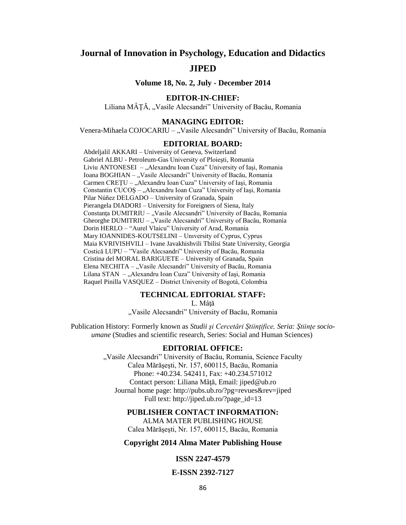### **Journal of Innovation in Psychology, Education and Didactics JIPED**

**Volume 18, No. 2, July - December 2014**

#### **EDITOR-IN-CHIEF:**

Liliana MÂȚĂ, "Vasile Alecsandri" University of Bacău, Romania

#### **MANAGING EDITOR:**

Venera-Mihaela COJOCARIU – "Vasile Alecsandri" University of Bacău, Romania

#### **EDITORIAL BOARD:**

Abdeljalil AKKARI – University of Geneva, Switzerland Gabriel ALBU - Petroleum-Gas University of Ploieşti, Romania Liviu ANTONESEI – "Alexandru Ioan Cuza" University of Iași, Romania Ioana BOGHIAN - "Vasile Alecsandri" University of Bacău, Romania Carmen CREȚU – "Alexandru Ioan Cuza" University of Iași, Romania Constantin CUCOS – "Alexandru Ioan Cuza" University of Iași, Romania Pilar Núñez DELGADO – University of Granada, Spain Pierangela DIADORI – University for Foreigners of Siena, Italy Constanța DUMITRIU – "Vasile Alecsandri" University of Bacău, Romania Gheorghe DUMITRIU – "Vasile Alecsandri" University of Bacău, Romania Dorin HERLO – "Aurel Vlaicu" University of Arad, Romania Mary IOANNIDES-KOUTSELINI – Unıversity of Cyprus, Cyprus Maia KVRIVISHVILI – Ivane Javakhishvili Tbilisi State University, Georgia Costică LUPU – "Vasile Alecsandri" University of Bacău, Romania Cristina del MORAL BARIGUETE – University of Granada, Spain Elena NECHITA – "Vasile Alecsandri" University of Bacău, Romania Lilana STAN – "Alexandru Ioan Cuza" University of Iași, Romania Raquel Pinilla VASQUEZ – District University of Bogotá, Colombia

#### **TECHNICAL EDITORIAL STAFF:**

L. Mâţă

"Vasile Alecsandri" University of Bacău, Romania

Publication History: Formerly known as *Studii şi Cercetări Ştiinţifice, Seria: Ştiinţe socioumane* (Studies and scientific research, Series: Social and Human Sciences)

#### **EDITORIAL OFFICE:**

"Vasile Alecsandri" University of Bacău, Romania, Science Faculty Calea Mărăşeşti, Nr. 157, 600115, Bacău, Romania Phone: +40.234. 542411, Fax: +40.234.571012 Contact person: Liliana Mâţă, Email: [jiped@ub.ro](mailto:jiped@ub.ro) Journal home page: <http://pubs.ub.ro/?pg=revues&rev=jiped> Full text: [http://jiped.ub.ro/?page\\_id=13](http://jiped.ub.ro/?page_id=13)

#### **PUBLISHER CONTACT INFORMATION:**

ALMA MATER PUBLISHING HOUSE Calea Mărăşeşti, Nr. 157, 600115, Bacău, Romania

#### **Copyright 2014 Alma Mater Publishing House**

#### **ISSN 2247-4579**

#### **E-ISSN 2392-7127**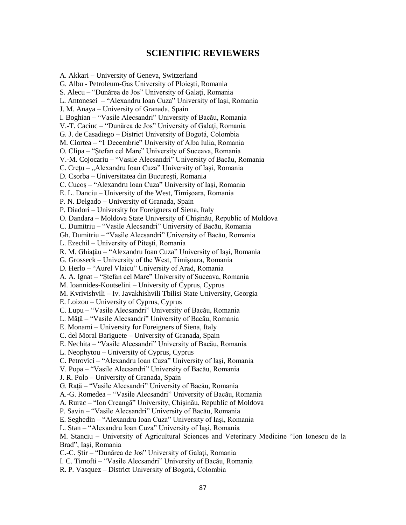#### **SCIENTIFIC REVIEWERS**

A. Akkari – University of Geneva, Switzerland G. Albu - Petroleum-Gas University of Ploieşti, Romania S. Alecu – "Dunărea de Jos" University of Galati, Romania L. Antonesei – "Alexandru Ioan Cuza" University of Iaşi, Romania J. M. Anaya – University of Granada, Spain I. Boghian – "Vasile Alecsandri" University of Bacău, Romania V.-T. Caciuc – "Dunărea de Jos" University of Galaţi, Romania G. J. de Casadiego – District University of Bogotá, Colombia M. Ciortea – "1 Decembrie" University of Alba Iulia, Romania O. Clipa – "Ştefan cel Mare" University of Suceava, Romania V.-M. Cojocariu – "Vasile Alecsandri" University of Bacău, Romania C. Crețu – "Alexandru Ioan Cuza" University of Iași, Romania D. Csorba – Universitatea din Bucureşti, Romania C. Cucoş – "Alexandru Ioan Cuza" University of Iaşi, Romania E. L. Danciu – University of the West, Timişoara, Romania P. N. Delgado – University of Granada, Spain P. Diadori – University for Foreigners of Siena, Italy O. Dandara – Moldova State University of Chişinău, Republic of Moldova C. Dumitriu – "Vasile Alecsandri" University of Bacău, Romania Gh. Dumitriu – "Vasile Alecsandri" University of Bacău, Romania L. Ezechil – University of Piteşti, Romania R. M. Ghiaţău – "Alexandru Ioan Cuza" University of Iaşi, Romania G. Grosseck – University of the West, Timişoara, Romania D. Herlo – "Aurel Vlaicu" University of Arad, Romania A. A. Ignat – "Ştefan cel Mare" University of Suceava, Romania M. Ioannides-Koutselini – University of Cyprus, Cyprus M. Kvrivishvili – Iv. Javakhishvili Tbilisi State University, Georgia E. Loizou – University of Cyprus, Cyprus C. Lupu – "Vasile Alecsandri" University of Bacău, Romania L. Mâţă – "Vasile Alecsandri" University of Bacău, Romania E. Monami – University for Foreigners of Siena, Italy C. del Moral Bariguete – University of Granada, Spain E. Nechita – "Vasile Alecsandri" University of Bacău, Romania L. Neophytou – University of Cyprus, Cyprus C. Petrovici – "Alexandru Ioan Cuza" University of Iaşi, Romania V. Popa – "Vasile Alecsandri" University of Bacău, Romania J. R. Polo – University of Granada, Spain G. Raţă – "Vasile Alecsandri" University of Bacău, Romania A.-G. Romedea – "Vasile Alecsandri" University of Bacău, Romania A. Rurac – "Ion Creangă" University, Chişinău, Republic of Moldova P. Savin – "Vasile Alecsandri" University of Bacău, Romania E. Seghedin – "Alexandru Ioan Cuza" University of Iaşi, Romania L. Stan – "Alexandru Ioan Cuza" University of Iaşi, Romania M. Stanciu – University of Agricultural Sciences and Veterinary Medicine "Ion Ionescu de la Brad", Iaşi, Romania C.-C. Ştir – "Dunărea de Jos" University of Galaţi, Romania I. C. Timofti – "Vasile Alecsandri" University of Bacău, Romania R. P. Vasquez – District University of Bogotá, Colombia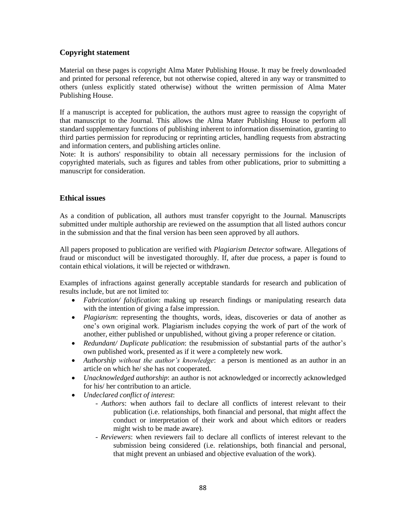#### **Copyright statement**

Material on these pages is copyright Alma Mater Publishing House. It may be freely downloaded and printed for personal reference, but not otherwise copied, altered in any way or transmitted to others (unless explicitly stated otherwise) without the written permission of Alma Mater Publishing House.

If a manuscript is accepted for publication, the authors must agree to reassign the copyright of that manuscript to the Journal. This allows the Alma Mater Publishing House to perform all standard supplementary functions of publishing inherent to information dissemination, granting to third parties permission for reproducing or reprinting articles, handling requests from abstracting and information centers, and publishing articles online.

Note: It is authors' responsibility to obtain all necessary permissions for the inclusion of copyrighted materials, such as figures and tables from other publications, prior to submitting a manuscript for consideration.

#### **Ethical issues**

As a condition of publication, all authors must transfer copyright to the Journal. Manuscripts submitted under multiple authorship are reviewed on the assumption that all listed authors concur in the submission and that the final version has been seen approved by all authors.

All papers proposed to publication are verified with *Plagiarism Detector* software. Allegations of fraud or misconduct will be investigated thoroughly. If, after due process, a paper is found to contain ethical violations, it will be rejected or withdrawn.

Examples of infractions against generally acceptable standards for research and publication of results include, but are not limited to:

- *Fabrication/ falsification*: making up research findings or manipulating research data with the intention of giving a false impression.
- *Plagiarism*: representing the thoughts, words, ideas, discoveries or data of another as one's own original work. Plagiarism includes copying the work of part of the work of another, either published or unpublished, without giving a proper reference or citation.
- *Redundant/ Duplicate publication*: the resubmission of substantial parts of the author's own published work, presented as if it were a completely new work.
- *Authorship without the author's knowledge*: a person is mentioned as an author in an article on which he/ she has not cooperated.
- *Unacknowledged authorship*: an author is not acknowledged or incorrectly acknowledged for his/ her contribution to an article.
- *Undeclared conflict of interest*:
	- *Authors*: when authors fail to declare all conflicts of interest relevant to their publication (i.e. relationships, both financial and personal, that might affect the conduct or interpretation of their work and about which editors or readers might wish to be made aware).
	- *Reviewers*: when reviewers fail to declare all conflicts of interest relevant to the submission being considered (i.e. relationships, both financial and personal, that might prevent an unbiased and objective evaluation of the work).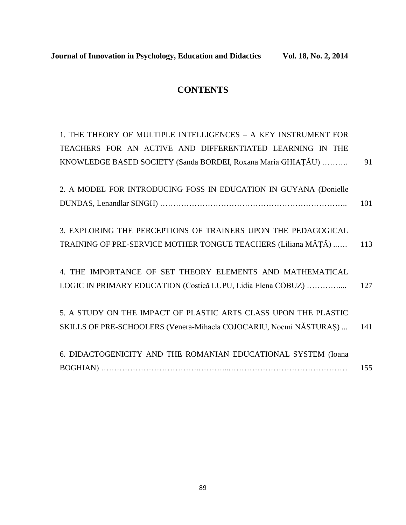### **CONTENTS**

| 1. THE THEORY OF MULTIPLE INTELLIGENCES - A KEY INSTRUMENT FOR     |     |
|--------------------------------------------------------------------|-----|
| TEACHERS FOR AN ACTIVE AND DIFFERENTIATED LEARNING IN THE          |     |
| KNOWLEDGE BASED SOCIETY (Sanda BORDEI, Roxana Maria GHIAȚĂU)       | 91  |
|                                                                    |     |
| 2. A MODEL FOR INTRODUCING FOSS IN EDUCATION IN GUYANA (Donielle   |     |
|                                                                    | 101 |
|                                                                    |     |
| 3. EXPLORING THE PERCEPTIONS OF TRAINERS UPON THE PEDAGOGICAL      |     |
| TRAINING OF PRE-SERVICE MOTHER TONGUE TEACHERS (Liliana MÂȚĂ)      | 113 |
|                                                                    |     |
| 4. THE IMPORTANCE OF SET THEORY ELEMENTS AND MATHEMATICAL          |     |
| LOGIC IN PRIMARY EDUCATION (Costică LUPU, Lidia Elena COBUZ)       | 127 |
|                                                                    |     |
| 5. A STUDY ON THE IMPACT OF PLASTIC ARTS CLASS UPON THE PLASTIC    |     |
| SKILLS OF PRE-SCHOOLERS (Venera-Mihaela COJOCARIU, Noemi NĂSTURAS) | 141 |
|                                                                    |     |
| 6. DIDACTOGENICITY AND THE ROMANIAN EDUCATIONAL SYSTEM (Ioana      |     |
|                                                                    | 155 |
|                                                                    |     |